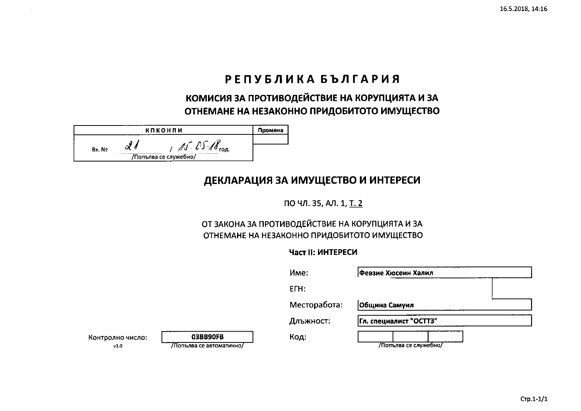# РЕПУБЛИКА БЪЛГАРИЯ

КОМИСИЯ ЗА ПРОТИВОДЕЙСТВИЕ НА КОРУПЦИЯТА И ЗА ОТНЕМАНЕ НА НЕЗАКОННО ПРИДОБИТОТО ИМУЩЕСТВО

|        | кпконпи                       | Промяна |
|--------|-------------------------------|---------|
| Bx. No | год.<br>/Попълва се служебно/ |         |
|        |                               |         |

## ДЕКЛАРАЦИЯ ЗА ИМУЩЕСТВО И ИНТЕРЕСИ

ПО ЧЛ. 35, АЛ. 1, Т. 2

### ОТ ЗАКОНА ЗА ПРОТИВОДЕЙСТВИЕ НА КОРУПЦИЯТА И ЗА ОТНЕМАНЕ НА НЕЗАКОННО ПРИДОБИТОТО ИМУЩЕСТВО

### Част II: ИНТЕРЕСИ

|                          |                                      | Име:         | __________________<br>Февзие Хюсеин Халил |  |
|--------------------------|--------------------------------------|--------------|-------------------------------------------|--|
|                          |                                      | ETH:         |                                           |  |
|                          |                                      | Месторабота: | Община Самуил                             |  |
|                          |                                      | Длъжност:    | Гл. специалист "ОСТТЗ"                    |  |
| Контролно число:<br>v1.0 | 03BB90FB<br>/Попълва се автоматично/ | Код:         | /Попълва се служебно/                     |  |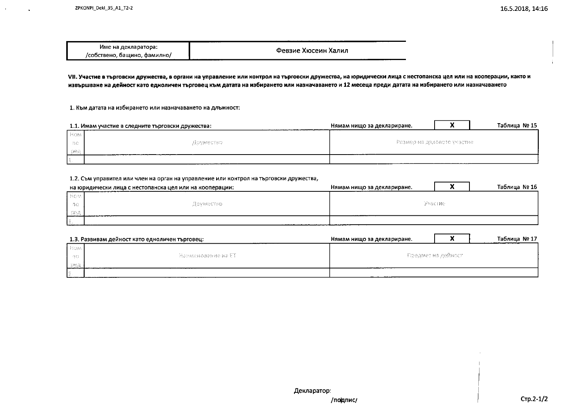| .                                 |                     |
|-----------------------------------|---------------------|
| Име на декларатора:               | Февзие Хюсеин Халил |
| , бащино, фамилно/<br>/собствено, |                     |

VII. Участие в търговски дружества, в органи на управление или контрол на търговски дружества, на юридически лица с нестопанска цел или на кооперации, както и извършване на дейност като едноличен търговец към датата на избирането или назначаването и 12 месеца преди датата на избирането или назначаването

1. Към датата на избирането или назначаването на длъжност:

| 1.1. Имам участие в следните търговски дружества: |           | Нямам нищо за деклариране.   |  | Таблица № 15 |
|---------------------------------------------------|-----------|------------------------------|--|--------------|
| <b>How</b>                                        |           |                              |  |              |
| - 1930 -                                          | Apyrectso | -Размер на дяловото участне- |  |              |
| 100点                                              |           |                              |  |              |
|                                                   |           |                              |  |              |

#### 1.2. Съм управител или член на орган на управление или контрол на търговски дружества,

| на юридически лица с нестопанска цел или на кооперации: |            | Нямам нищо за деклариране. |  | Таблица № 16 |
|---------------------------------------------------------|------------|----------------------------|--|--------------|
| <b>I</b> Host                                           |            |                            |  |              |
| - 40                                                    | Шомжество- | 医甲胺肌固醇                     |  |              |
|                                                         |            |                            |  |              |
| the property states and the property of the property    |            |                            |  |              |

|        | 1.3. Развивам дейност като едноличен търговец:                                            | Нямам нишо за деклариране. |  | Таблица № 17 |
|--------|-------------------------------------------------------------------------------------------|----------------------------|--|--------------|
| i Boal |                                                                                           |                            |  |              |
| 一時食    | - Намменовение на ET -                                                                    | - Предмет на дейност -     |  |              |
| 1048   |                                                                                           |                            |  |              |
|        | The company of the company of the company of the company of the company of the company of |                            |  |              |